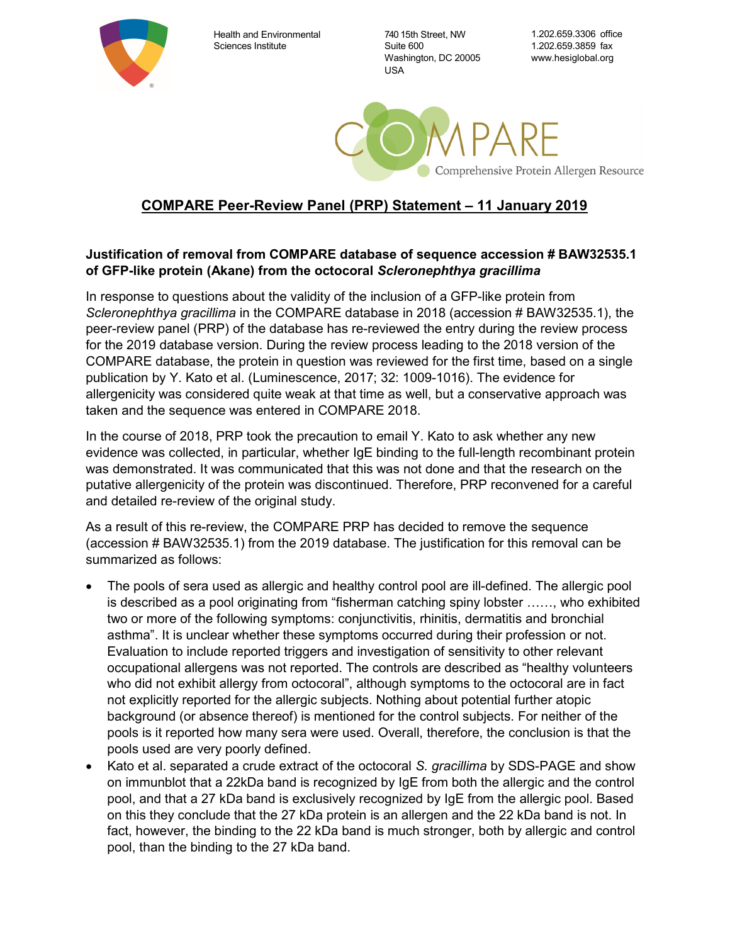

Health and Environmental Sciences Institute

740 15th Street, NW Suite 600 Washington, DC 20005 USA

1.202.659.3306 office 1.202.659.3859 fax www.hesiglobal.org



## COMPARE Peer-Review Panel (PRP) Statement – 11 January 2019

## Justification of removal from COMPARE database of sequence accession # BAW32535.1 of GFP-like protein (Akane) from the octocoral Scleronephthya gracillima

In response to questions about the validity of the inclusion of a GFP-like protein from Scleronephthya gracillima in the COMPARE database in 2018 (accession # BAW32535.1), the peer-review panel (PRP) of the database has re-reviewed the entry during the review process for the 2019 database version. During the review process leading to the 2018 version of the COMPARE database, the protein in question was reviewed for the first time, based on a single publication by Y. Kato et al. (Luminescence, 2017; 32: 1009-1016). The evidence for allergenicity was considered quite weak at that time as well, but a conservative approach was taken and the sequence was entered in COMPARE 2018.

In the course of 2018, PRP took the precaution to email Y. Kato to ask whether any new evidence was collected, in particular, whether IgE binding to the full-length recombinant protein was demonstrated. It was communicated that this was not done and that the research on the putative allergenicity of the protein was discontinued. Therefore, PRP reconvened for a careful and detailed re-review of the original study.

As a result of this re-review, the COMPARE PRP has decided to remove the sequence (accession # BAW32535.1) from the 2019 database. The justification for this removal can be summarized as follows:

- The pools of sera used as allergic and healthy control pool are ill-defined. The allergic pool is described as a pool originating from "fisherman catching spiny lobster ……, who exhibited two or more of the following symptoms: conjunctivitis, rhinitis, dermatitis and bronchial asthma". It is unclear whether these symptoms occurred during their profession or not. Evaluation to include reported triggers and investigation of sensitivity to other relevant occupational allergens was not reported. The controls are described as "healthy volunteers who did not exhibit allergy from octocoral", although symptoms to the octocoral are in fact not explicitly reported for the allergic subjects. Nothing about potential further atopic background (or absence thereof) is mentioned for the control subjects. For neither of the pools is it reported how many sera were used. Overall, therefore, the conclusion is that the pools used are very poorly defined.
- Kato et al. separated a crude extract of the octocoral S. gracillima by SDS-PAGE and show on immunblot that a 22kDa band is recognized by IgE from both the allergic and the control pool, and that a 27 kDa band is exclusively recognized by IgE from the allergic pool. Based on this they conclude that the 27 kDa protein is an allergen and the 22 kDa band is not. In fact, however, the binding to the 22 kDa band is much stronger, both by allergic and control pool, than the binding to the 27 kDa band.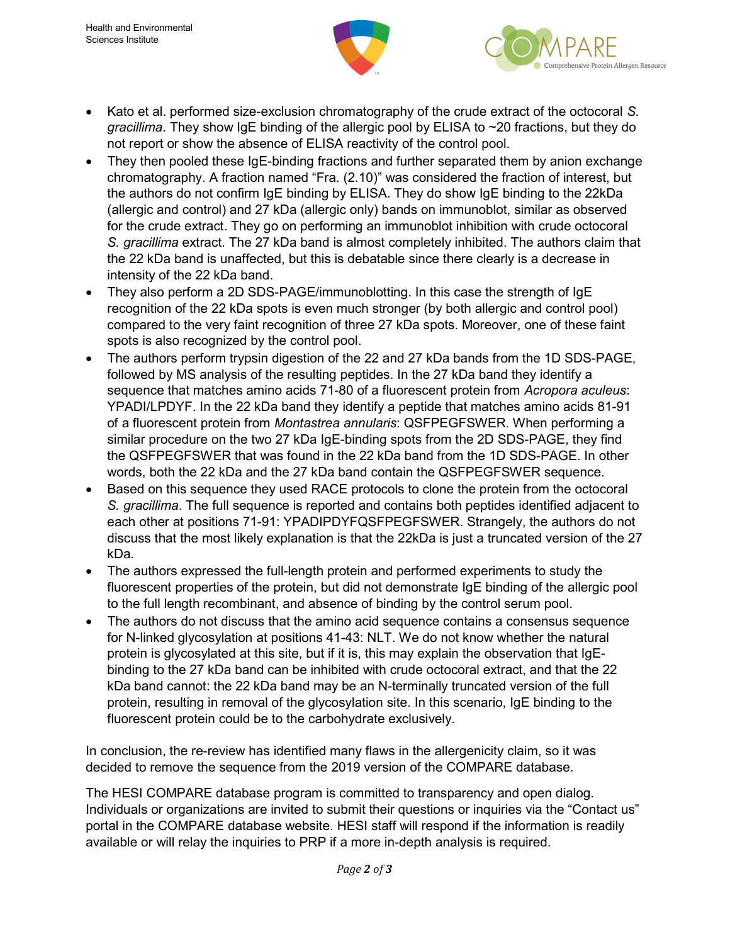



- Kato et al. performed size-exclusion chromatography of the crude extract of the octocoral S. gracillima. They show IgE binding of the allergic pool by ELISA to ~20 fractions, but they do not report or show the absence of ELISA reactivity of the control pool.
- They then pooled these IgE-binding fractions and further separated them by anion exchange chromatography. A fraction named "Fra. (2.10)" was considered the fraction of interest, but the authors do not confirm IgE binding by ELISA. They do show IgE binding to the 22kDa (allergic and control) and 27 kDa (allergic only) bands on immunoblot, similar as observed for the crude extract. They go on performing an immunoblot inhibition with crude octocoral S. gracillima extract. The 27 kDa band is almost completely inhibited. The authors claim that the 22 kDa band is unaffected, but this is debatable since there clearly is a decrease in intensity of the 22 kDa band.
- They also perform a 2D SDS-PAGE/immunoblotting. In this case the strength of IgE recognition of the 22 kDa spots is even much stronger (by both allergic and control pool) compared to the very faint recognition of three 27 kDa spots. Moreover, one of these faint spots is also recognized by the control pool.
- The authors perform trypsin digestion of the 22 and 27 kDa bands from the 1D SDS-PAGE, followed by MS analysis of the resulting peptides. In the 27 kDa band they identify a sequence that matches amino acids 71-80 of a fluorescent protein from Acropora aculeus: YPADI/LPDYF. In the 22 kDa band they identify a peptide that matches amino acids 81-91 of a fluorescent protein from Montastrea annularis: QSFPEGFSWER. When performing a similar procedure on the two 27 kDa IgE-binding spots from the 2D SDS-PAGE, they find the QSFPEGFSWER that was found in the 22 kDa band from the 1D SDS-PAGE. In other words, both the 22 kDa and the 27 kDa band contain the QSFPEGFSWER sequence.
- Based on this sequence they used RACE protocols to clone the protein from the octocoral S. gracillima. The full sequence is reported and contains both peptides identified adjacent to each other at positions 71-91: YPADIPDYFQSFPEGFSWER. Strangely, the authors do not discuss that the most likely explanation is that the 22kDa is just a truncated version of the 27 kDa.
- The authors expressed the full-length protein and performed experiments to study the fluorescent properties of the protein, but did not demonstrate IgE binding of the allergic pool to the full length recombinant, and absence of binding by the control serum pool.
- The authors do not discuss that the amino acid sequence contains a consensus sequence for N-linked glycosylation at positions 41-43: NLT. We do not know whether the natural protein is glycosylated at this site, but if it is, this may explain the observation that IgEbinding to the 27 kDa band can be inhibited with crude octocoral extract, and that the 22 kDa band cannot: the 22 kDa band may be an N-terminally truncated version of the full protein, resulting in removal of the glycosylation site. In this scenario, IgE binding to the fluorescent protein could be to the carbohydrate exclusively.

In conclusion, the re-review has identified many flaws in the allergenicity claim, so it was decided to remove the sequence from the 2019 version of the COMPARE database.

The HESI COMPARE database program is committed to transparency and open dialog. Individuals or organizations are invited to submit their questions or inquiries via the "Contact us" portal in the COMPARE database website. HESI staff will respond if the information is readily available or will relay the inquiries to PRP if a more in-depth analysis is required.